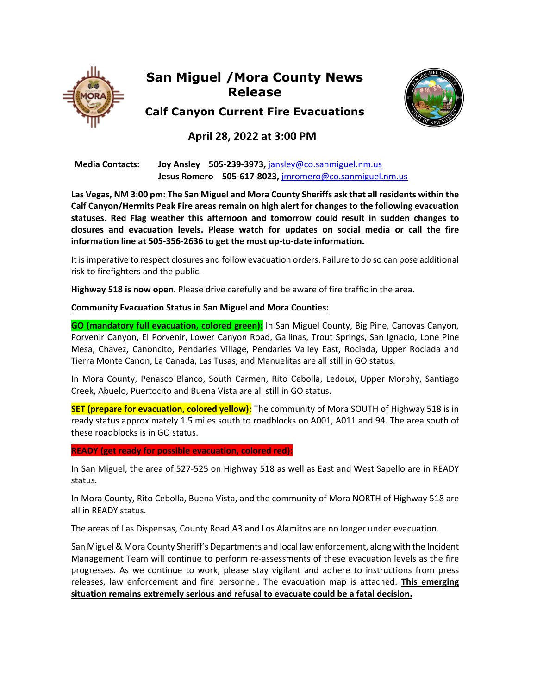

# **San Miguel /Mora County News Release**



**Calf Canyon Current Fire Evacuations**

# **April 28, 2022 at 3:00 PM**

 **Media Contacts: Joy Ansley 505-239-3973,** jansley@co.sanmiguel.nm.us **Jesus Romero 505-617-8023,** jmromero@co.sanmiguel.nm.us

**Las Vegas, NM 3:00 pm: The San Miguel and Mora County Sheriffs ask that all residents within the Calf Canyon/Hermits Peak Fire areas remain on high alert for changes to the following evacuation statuses. Red Flag weather this afternoon and tomorrow could result in sudden changes to closures and evacuation levels. Please watch for updates on social media or call the fire information line at 505-356-2636 to get the most up-to-date information.**

It is imperative to respect closures and follow evacuation orders. Failure to do so can pose additional risk to firefighters and the public.

**Highway 518 is now open.** Please drive carefully and be aware of fire traffic in the area.

## **Community Evacuation Status in San Miguel and Mora Counties:**

**GO (mandatory full evacuation, colored green):** In San Miguel County, Big Pine, Canovas Canyon, Porvenir Canyon, El Porvenir, Lower Canyon Road, Gallinas, Trout Springs, San Ignacio, Lone Pine Mesa, Chavez, Canoncito, Pendaries Village, Pendaries Valley East, Rociada, Upper Rociada and Tierra Monte Canon, La Canada, Las Tusas, and Manuelitas are all still in GO status.

In Mora County, Penasco Blanco, South Carmen, Rito Cebolla, Ledoux, Upper Morphy, Santiago Creek, Abuelo, Puertocito and Buena Vista are all still in GO status.

**SET (prepare for evacuation, colored yellow):** The community of Mora SOUTH of Highway 518 is in ready status approximately 1.5 miles south to roadblocks on A001, A011 and 94. The area south of these roadblocks is in GO status.

**READY (get ready for possible evacuation, colored red):**

In San Miguel, the area of 527-525 on Highway 518 as well as East and West Sapello are in READY status.

In Mora County, Rito Cebolla, Buena Vista, and the community of Mora NORTH of Highway 518 are all in READY status.

The areas of Las Dispensas, County Road A3 and Los Alamitos are no longer under evacuation.

San Miguel & Mora County Sheriff's Departments and local law enforcement, along with the Incident Management Team will continue to perform re-assessments of these evacuation levels as the fire progresses. As we continue to work, please stay vigilant and adhere to instructions from press releases, law enforcement and fire personnel. The evacuation map is attached. **This emerging situation remains extremely serious and refusal to evacuate could be a fatal decision.**